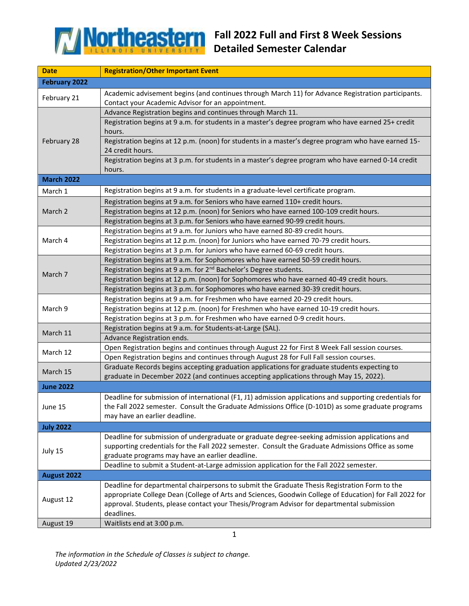

| <b>Date</b>          | <b>Registration/Other Important Event</b>                                                                                                                              |
|----------------------|------------------------------------------------------------------------------------------------------------------------------------------------------------------------|
| <b>February 2022</b> |                                                                                                                                                                        |
| February 21          | Academic advisement begins (and continues through March 11) for Advance Registration participants.                                                                     |
|                      | Contact your Academic Advisor for an appointment.                                                                                                                      |
| February 28          | Advance Registration begins and continues through March 11.                                                                                                            |
|                      | Registration begins at 9 a.m. for students in a master's degree program who have earned 25+ credit                                                                     |
|                      | hours.                                                                                                                                                                 |
|                      | Registration begins at 12 p.m. (noon) for students in a master's degree program who have earned 15-                                                                    |
|                      | 24 credit hours.                                                                                                                                                       |
|                      | Registration begins at 3 p.m. for students in a master's degree program who have earned 0-14 credit                                                                    |
|                      | hours.                                                                                                                                                                 |
| <b>March 2022</b>    |                                                                                                                                                                        |
| March 1              | Registration begins at 9 a.m. for students in a graduate-level certificate program.                                                                                    |
| March 2              | Registration begins at 9 a.m. for Seniors who have earned 110+ credit hours.                                                                                           |
|                      | Registration begins at 12 p.m. (noon) for Seniors who have earned 100-109 credit hours.                                                                                |
|                      | Registration begins at 3 p.m. for Seniors who have earned 90-99 credit hours.                                                                                          |
|                      | Registration begins at 9 a.m. for Juniors who have earned 80-89 credit hours.                                                                                          |
| March 4              | Registration begins at 12 p.m. (noon) for Juniors who have earned 70-79 credit hours.                                                                                  |
|                      | Registration begins at 3 p.m. for Juniors who have earned 60-69 credit hours.                                                                                          |
|                      | Registration begins at 9 a.m. for Sophomores who have earned 50-59 credit hours.                                                                                       |
| March 7              | Registration begins at 9 a.m. for 2 <sup>nd</sup> Bachelor's Degree students.                                                                                          |
|                      | Registration begins at 12 p.m. (noon) for Sophomores who have earned 40-49 credit hours.                                                                               |
|                      | Registration begins at 3 p.m. for Sophomores who have earned 30-39 credit hours.                                                                                       |
|                      | Registration begins at 9 a.m. for Freshmen who have earned 20-29 credit hours.                                                                                         |
| March 9              | Registration begins at 12 p.m. (noon) for Freshmen who have earned 10-19 credit hours.<br>Registration begins at 3 p.m. for Freshmen who have earned 0-9 credit hours. |
|                      | Registration begins at 9 a.m. for Students-at-Large (SAL).                                                                                                             |
| March 11             | Advance Registration ends.                                                                                                                                             |
|                      | Open Registration begins and continues through August 22 for First 8 Week Fall session courses.                                                                        |
| March 12             | Open Registration begins and continues through August 28 for Full Fall session courses.                                                                                |
|                      | Graduate Records begins accepting graduation applications for graduate students expecting to                                                                           |
| March 15             | graduate in December 2022 (and continues accepting applications through May 15, 2022).                                                                                 |
| <b>June 2022</b>     |                                                                                                                                                                        |
|                      | Deadline for submission of international (F1, J1) admission applications and supporting credentials for                                                                |
| June 15              | the Fall 2022 semester. Consult the Graduate Admissions Office (D-101D) as some graduate programs                                                                      |
|                      | may have an earlier deadline.                                                                                                                                          |
| <b>July 2022</b>     |                                                                                                                                                                        |
|                      | Deadline for submission of undergraduate or graduate degree-seeking admission applications and                                                                         |
|                      | supporting credentials for the Fall 2022 semester. Consult the Graduate Admissions Office as some                                                                      |
| July 15              | graduate programs may have an earlier deadline.                                                                                                                        |
|                      | Deadline to submit a Student-at-Large admission application for the Fall 2022 semester.                                                                                |
| August 2022          |                                                                                                                                                                        |
|                      | Deadline for departmental chairpersons to submit the Graduate Thesis Registration Form to the                                                                          |
| August 12            | appropriate College Dean (College of Arts and Sciences, Goodwin College of Education) for Fall 2022 for                                                                |
|                      | approval. Students, please contact your Thesis/Program Advisor for departmental submission                                                                             |
|                      | deadlines.                                                                                                                                                             |
| August 19            | Waitlists end at 3:00 p.m.                                                                                                                                             |

*The information in the Schedule of Classes is subject to change. Updated 2/23/2022*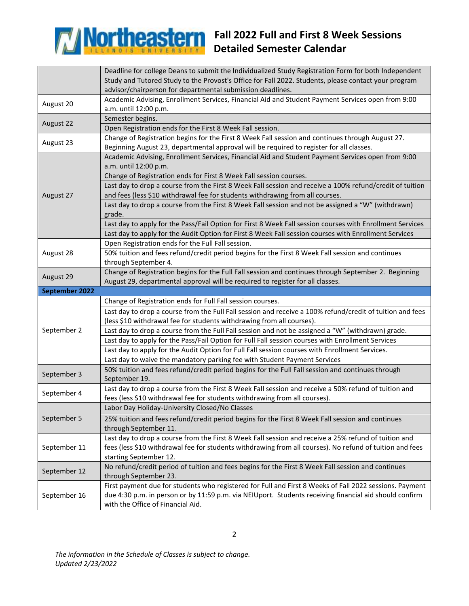

## **Fall 2022 Full and First 8 Week Sessions Detailed Semester Calendar**

|                | Deadline for college Deans to submit the Individualized Study Registration Form for both Independent<br>Study and Tutored Study to the Provost's Office for Fall 2022. Students, please contact your program<br>advisor/chairperson for departmental submission deadlines. |
|----------------|----------------------------------------------------------------------------------------------------------------------------------------------------------------------------------------------------------------------------------------------------------------------------|
| August 20      | Academic Advising, Enrollment Services, Financial Aid and Student Payment Services open from 9:00<br>a.m. until 12:00 p.m.                                                                                                                                                 |
| August 22      | Semester begins.                                                                                                                                                                                                                                                           |
|                | Open Registration ends for the First 8 Week Fall session.                                                                                                                                                                                                                  |
| August 23      | Change of Registration begins for the First 8 Week Fall session and continues through August 27.<br>Beginning August 23, departmental approval will be required to register for all classes.                                                                               |
| August 27      | Academic Advising, Enrollment Services, Financial Aid and Student Payment Services open from 9:00<br>a.m. until 12:00 p.m.                                                                                                                                                 |
|                | Change of Registration ends for First 8 Week Fall session courses.                                                                                                                                                                                                         |
|                | Last day to drop a course from the First 8 Week Fall session and receive a 100% refund/credit of tuition<br>and fees (less \$10 withdrawal fee for students withdrawing from all courses.                                                                                  |
|                | Last day to drop a course from the First 8 Week Fall session and not be assigned a "W" (withdrawn)<br>grade.                                                                                                                                                               |
|                | Last day to apply for the Pass/Fail Option for First 8 Week Fall session courses with Enrollment Services                                                                                                                                                                  |
|                | Last day to apply for the Audit Option for First 8 Week Fall session courses with Enrollment Services                                                                                                                                                                      |
|                | Open Registration ends for the Full Fall session.                                                                                                                                                                                                                          |
| August 28      | 50% tuition and fees refund/credit period begins for the First 8 Week Fall session and continues<br>through September 4.                                                                                                                                                   |
| August 29      | Change of Registration begins for the Full Fall session and continues through September 2. Beginning<br>August 29, departmental approval will be required to register for all classes.                                                                                     |
|                |                                                                                                                                                                                                                                                                            |
| September 2022 |                                                                                                                                                                                                                                                                            |
|                | Change of Registration ends for Full Fall session courses.                                                                                                                                                                                                                 |
|                | Last day to drop a course from the Full Fall session and receive a 100% refund/credit of tuition and fees                                                                                                                                                                  |
| September 2    | (less \$10 withdrawal fee for students withdrawing from all courses).                                                                                                                                                                                                      |
|                | Last day to drop a course from the Full Fall session and not be assigned a "W" (withdrawn) grade.<br>Last day to apply for the Pass/Fail Option for Full Fall session courses with Enrollment Services                                                                     |
|                | Last day to apply for the Audit Option for Full Fall session courses with Enrollment Services.                                                                                                                                                                             |
|                | Last day to waive the mandatory parking fee with Student Payment Services                                                                                                                                                                                                  |
| September 3    | 50% tuition and fees refund/credit period begins for the Full Fall session and continues through<br>September 19.                                                                                                                                                          |
|                | Last day to drop a course from the First 8 Week Fall session and receive a 50% refund of tuition and                                                                                                                                                                       |
| September 4    | fees (less \$10 withdrawal fee for students withdrawing from all courses).                                                                                                                                                                                                 |
|                | Labor Day Holiday-University Closed/No Classes                                                                                                                                                                                                                             |
| September 5    | 25% tuition and fees refund/credit period begins for the First 8 Week Fall session and continues<br>through September 11.                                                                                                                                                  |
| September 11   | Last day to drop a course from the First 8 Week Fall session and receive a 25% refund of tuition and<br>fees (less \$10 withdrawal fee for students withdrawing from all courses). No refund of tuition and fees<br>starting September 12.                                 |
| September 12   | No refund/credit period of tuition and fees begins for the First 8 Week Fall session and continues<br>through September 23.                                                                                                                                                |